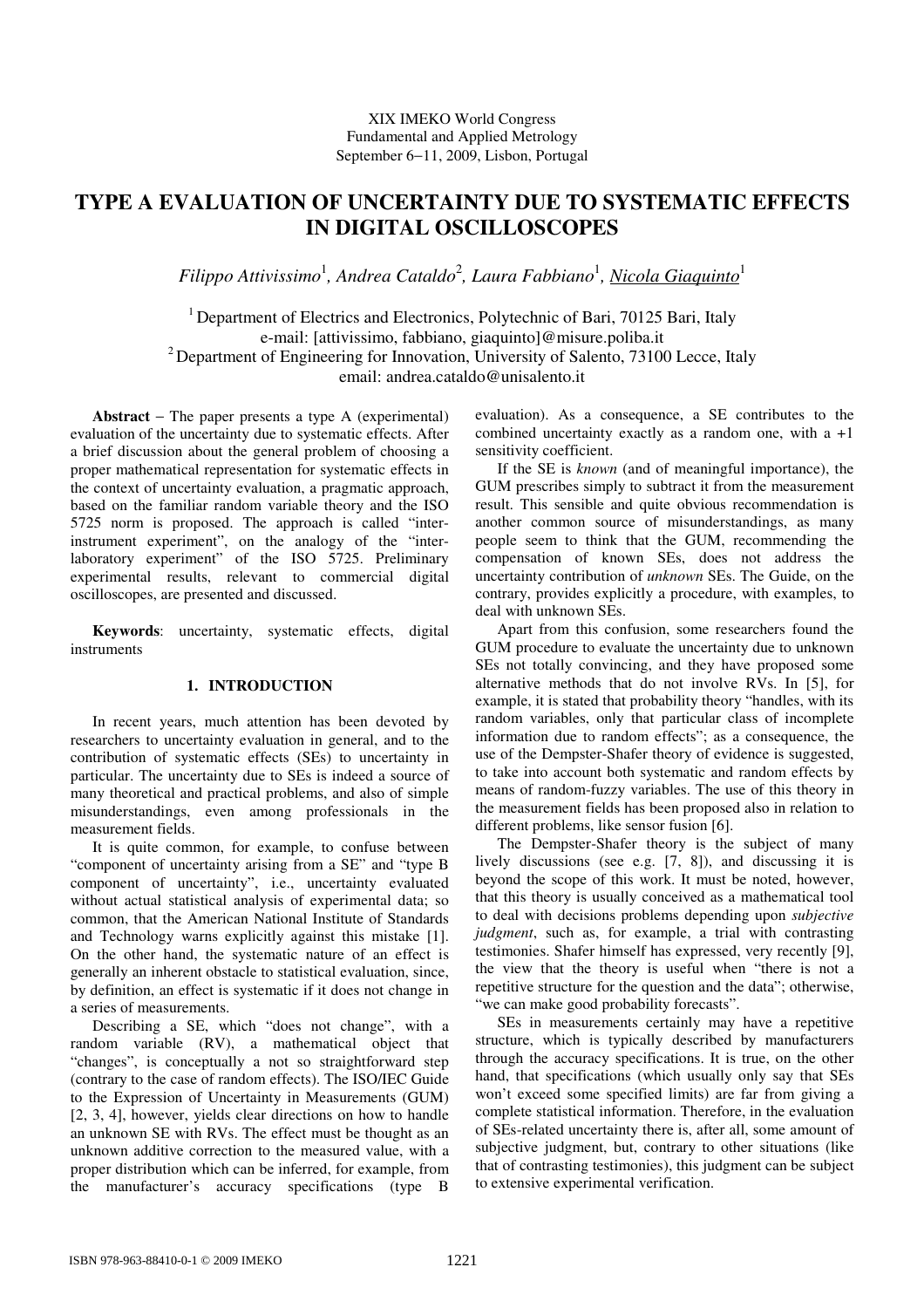# **TYPE A EVALUATION OF UNCERTAINTY DUE TO SYSTEMATIC EFFECTS IN DIGITAL OSCILLOSCOPES**

 $Filippo$   $Attivissimo<sup>1</sup>$ , Andrea Cataldo<sup>2</sup>, Laura Fabbiano<sup>1</sup>, <u>Nicola Giaquinto</u><sup>1</sup>

<sup>1</sup> Department of Electrics and Electronics, Polytechnic of Bari, 70125 Bari, Italy e-mail: [attivissimo, fabbiano, giaquinto]@misure.poliba.it  $2$  Department of Engineering for Innovation, University of Salento, 73100 Lecce, Italy email: andrea.cataldo@unisalento.it

**Abstract** − The paper presents a type A (experimental) evaluation of the uncertainty due to systematic effects. After a brief discussion about the general problem of choosing a proper mathematical representation for systematic effects in the context of uncertainty evaluation, a pragmatic approach, based on the familiar random variable theory and the ISO 5725 norm is proposed. The approach is called "interinstrument experiment", on the analogy of the "interlaboratory experiment" of the ISO 5725. Preliminary experimental results, relevant to commercial digital oscilloscopes, are presented and discussed.

**Keywords**: uncertainty, systematic effects, digital instruments

## **1. INTRODUCTION**

In recent years, much attention has been devoted by researchers to uncertainty evaluation in general, and to the contribution of systematic effects (SEs) to uncertainty in particular. The uncertainty due to SEs is indeed a source of many theoretical and practical problems, and also of simple misunderstandings, even among professionals in the measurement fields.

It is quite common, for example, to confuse between "component of uncertainty arising from a SE" and "type B component of uncertainty", i.e., uncertainty evaluated without actual statistical analysis of experimental data; so common, that the American National Institute of Standards and Technology warns explicitly against this mistake [1]. On the other hand, the systematic nature of an effect is generally an inherent obstacle to statistical evaluation, since, by definition, an effect is systematic if it does not change in a series of measurements.

Describing a SE, which "does not change", with a random variable (RV), a mathematical object that "changes", is conceptually a not so straightforward step (contrary to the case of random effects). The ISO/IEC Guide to the Expression of Uncertainty in Measurements (GUM) [2, 3, 4], however, yields clear directions on how to handle an unknown SE with RVs. The effect must be thought as an unknown additive correction to the measured value, with a proper distribution which can be inferred, for example, from the manufacturer's accuracy specifications (type B

evaluation). As a consequence, a SE contributes to the combined uncertainty exactly as a random one, with a +1 sensitivity coefficient.

If the SE is *known* (and of meaningful importance), the GUM prescribes simply to subtract it from the measurement result. This sensible and quite obvious recommendation is another common source of misunderstandings, as many people seem to think that the GUM, recommending the compensation of known SEs, does not address the uncertainty contribution of *unknown* SEs. The Guide, on the contrary, provides explicitly a procedure, with examples, to deal with unknown SEs.

Apart from this confusion, some researchers found the GUM procedure to evaluate the uncertainty due to unknown SEs not totally convincing, and they have proposed some alternative methods that do not involve RVs. In [5], for example, it is stated that probability theory "handles, with its random variables, only that particular class of incomplete information due to random effects"; as a consequence, the use of the Dempster-Shafer theory of evidence is suggested, to take into account both systematic and random effects by means of random-fuzzy variables. The use of this theory in the measurement fields has been proposed also in relation to different problems, like sensor fusion [6].

The Dempster-Shafer theory is the subject of many lively discussions (see e.g. [7, 8]), and discussing it is beyond the scope of this work. It must be noted, however, that this theory is usually conceived as a mathematical tool to deal with decisions problems depending upon *subjective judgment*, such as, for example, a trial with contrasting testimonies. Shafer himself has expressed, very recently [9], the view that the theory is useful when "there is not a repetitive structure for the question and the data"; otherwise, "we can make good probability forecasts".

SEs in measurements certainly may have a repetitive structure, which is typically described by manufacturers through the accuracy specifications. It is true, on the other hand, that specifications (which usually only say that SEs won't exceed some specified limits) are far from giving a complete statistical information. Therefore, in the evaluation of SEs-related uncertainty there is, after all, some amount of subjective judgment, but, contrary to other situations (like that of contrasting testimonies), this judgment can be subject to extensive experimental verification.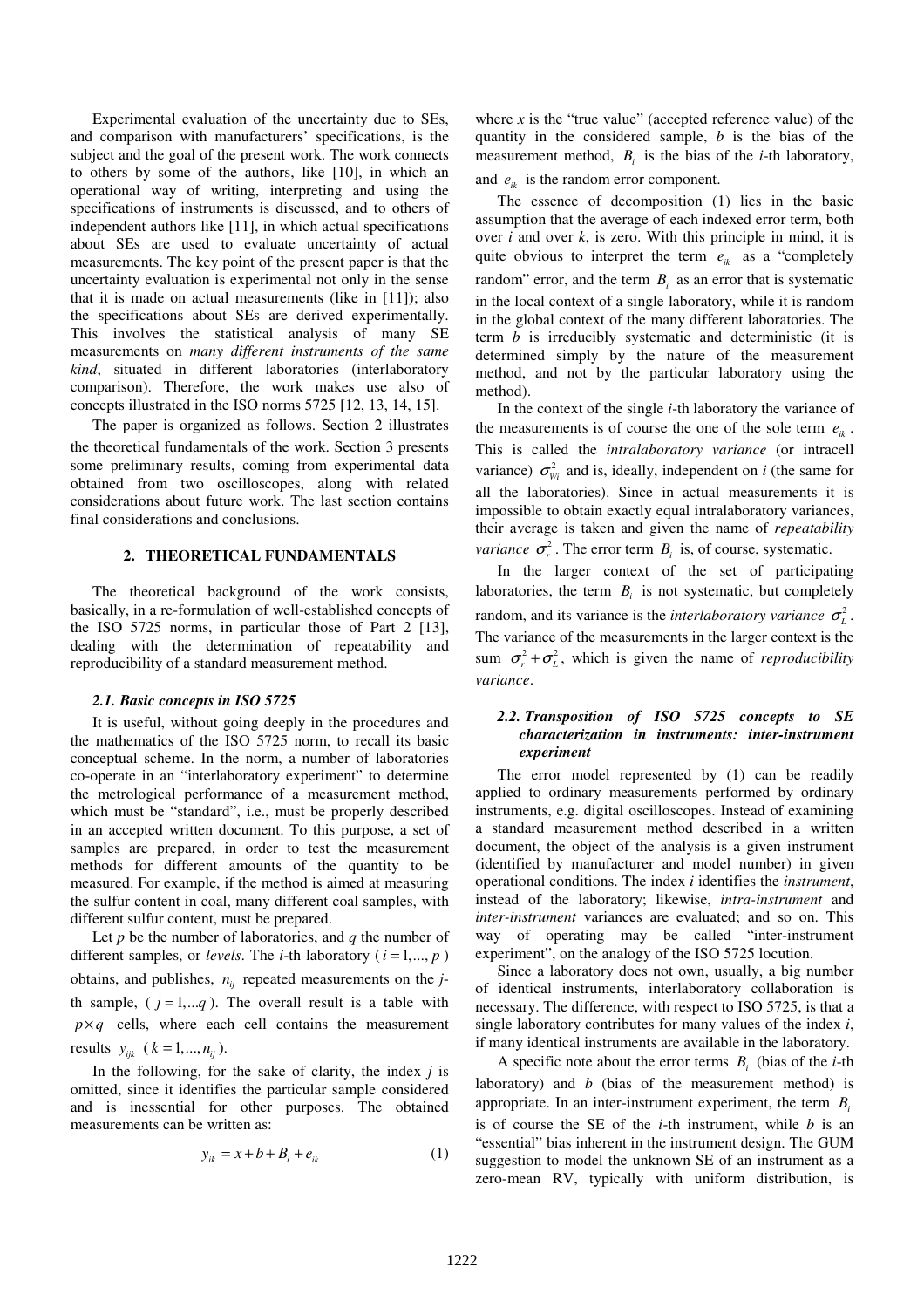Experimental evaluation of the uncertainty due to SEs, and comparison with manufacturers' specifications, is the subject and the goal of the present work. The work connects to others by some of the authors, like [10], in which an operational way of writing, interpreting and using the specifications of instruments is discussed, and to others of independent authors like [11], in which actual specifications about SEs are used to evaluate uncertainty of actual measurements. The key point of the present paper is that the uncertainty evaluation is experimental not only in the sense that it is made on actual measurements (like in [11]); also the specifications about SEs are derived experimentally. This involves the statistical analysis of many SE measurements on *many different instruments of the same kind*, situated in different laboratories (interlaboratory comparison). Therefore, the work makes use also of concepts illustrated in the ISO norms 5725 [12, 13, 14, 15].

The paper is organized as follows. Section 2 illustrates the theoretical fundamentals of the work. Section 3 presents some preliminary results, coming from experimental data obtained from two oscilloscopes, along with related considerations about future work. The last section contains final considerations and conclusions.

## **2. THEORETICAL FUNDAMENTALS**

The theoretical background of the work consists, basically, in a re-formulation of well-established concepts of the ISO 5725 norms, in particular those of Part 2 [13], dealing with the determination of repeatability and reproducibility of a standard measurement method.

#### *2.1. Basic concepts in ISO 5725*

It is useful, without going deeply in the procedures and the mathematics of the ISO 5725 norm, to recall its basic conceptual scheme. In the norm, a number of laboratories co-operate in an "interlaboratory experiment" to determine the metrological performance of a measurement method, which must be "standard", i.e., must be properly described in an accepted written document. To this purpose, a set of samples are prepared, in order to test the measurement methods for different amounts of the quantity to be measured. For example, if the method is aimed at measuring the sulfur content in coal, many different coal samples, with different sulfur content, must be prepared.

Let *p* be the number of laboratories, and *q* the number of different samples, or *levels*. The *i*-th laboratory ( $i = 1, ..., p$ ) obtains, and publishes,  $n_{ii}$  repeated measurements on the *j*th sample,  $(j = 1, \ldots q)$ . The overall result is a table with  $p \times q$  cells, where each cell contains the measurement results  $y_{ijk}$   $(k = 1, ..., n_{ij})$ .

In the following, for the sake of clarity, the index *j* is omitted, since it identifies the particular sample considered and is inessential for other purposes. The obtained measurements can be written as:

$$
y_{ik} = x + b + B_i + e_{ik} \tag{1}
$$

where  $x$  is the "true value" (accepted reference value) of the quantity in the considered sample, *b* is the bias of the measurement method,  $B_i$  is the bias of the *i*-th laboratory, and  $e_{ik}$  is the random error component.

The essence of decomposition (1) lies in the basic assumption that the average of each indexed error term, both over *i* and over *k*, is zero. With this principle in mind, it is quite obvious to interpret the term  $e_{ik}$  as a "completely" random" error, and the term  $B_i$  as an error that is systematic in the local context of a single laboratory, while it is random in the global context of the many different laboratories. The term *b* is irreducibly systematic and deterministic (it is determined simply by the nature of the measurement method, and not by the particular laboratory using the method).

In the context of the single *i*-th laboratory the variance of the measurements is of course the one of the sole term  $e_{ik}$ . This is called the *intralaboratory variance* (or intracell variance)  $\sigma_{wi}^2$  and is, ideally, independent on *i* (the same for all the laboratories). Since in actual measurements it is impossible to obtain exactly equal intralaboratory variances, their average is taken and given the name of *repeatability variance*  $\sigma_r^2$ . The error term  $B_i$  is, of course, systematic.

In the larger context of the set of participating laboratories, the term  $B_i$  is not systematic, but completely random, and its variance is the *interlaboratory variance*  $\sigma_L^2$ . The variance of the measurements in the larger context is the sum  $\sigma_r^2 + \sigma_L^2$ , which is given the name of *reproducibility variance*.

## *2.2. Transposition of ISO 5725 concepts to SE characterization in instruments: inter-instrument experiment*

The error model represented by (1) can be readily applied to ordinary measurements performed by ordinary instruments, e.g. digital oscilloscopes. Instead of examining a standard measurement method described in a written document, the object of the analysis is a given instrument (identified by manufacturer and model number) in given operational conditions. The index *i* identifies the *instrument*, instead of the laboratory; likewise, *intra-instrument* and *inter-instrument* variances are evaluated; and so on. This way of operating may be called "inter-instrument experiment", on the analogy of the ISO 5725 locution.

Since a laboratory does not own, usually, a big number of identical instruments, interlaboratory collaboration is necessary. The difference, with respect to ISO 5725, is that a single laboratory contributes for many values of the index *i*, if many identical instruments are available in the laboratory.

A specific note about the error terms  $B_i$  (bias of the *i*-th laboratory) and *b* (bias of the measurement method) is appropriate. In an inter-instrument experiment, the term *B<sup>i</sup>* is of course the SE of the *i*-th instrument, while *b* is an "essential" bias inherent in the instrument design. The GUM suggestion to model the unknown SE of an instrument as a zero-mean RV, typically with uniform distribution, is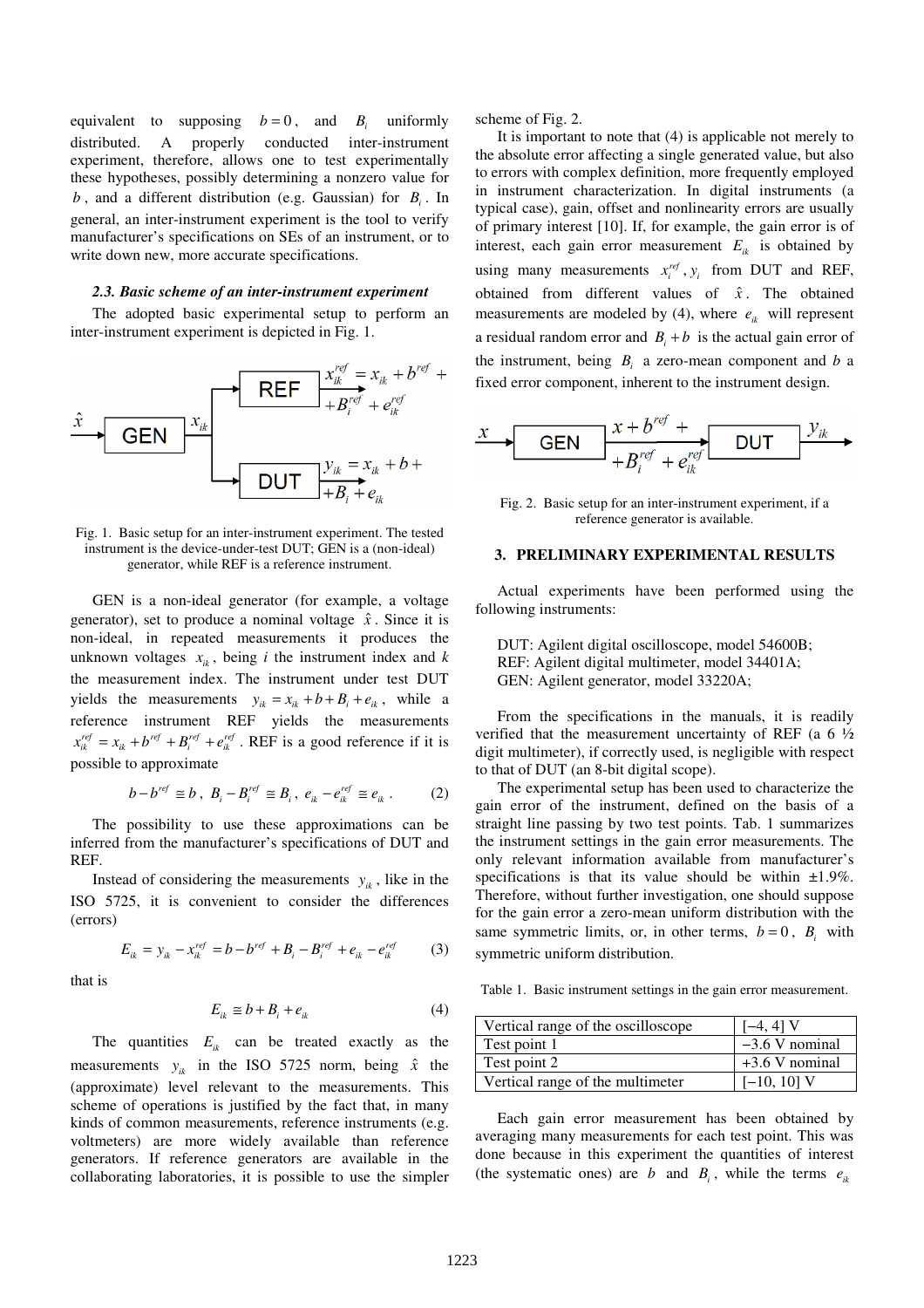equivalent to supposing  $b = 0$ , and  $B<sub>i</sub>$  uniformly distributed. A properly conducted inter-instrument experiment, therefore, allows one to test experimentally these hypotheses, possibly determining a nonzero value for *b* , and a different distribution (e.g. Gaussian) for *B<sup>i</sup>* . In general, an inter-instrument experiment is the tool to verify manufacturer's specifications on SEs of an instrument, or to write down new, more accurate specifications.

#### *2.3. Basic scheme of an inter-instrument experiment*

The adopted basic experimental setup to perform an inter-instrument experiment is depicted in Fig. 1.



Fig. 1. Basic setup for an inter-instrument experiment. The tested instrument is the device-under-test DUT; GEN is a (non-ideal) generator, while REF is a reference instrument.

GEN is a non-ideal generator (for example, a voltage generator), set to produce a nominal voltage  $\hat{x}$ . Since it is non-ideal, in repeated measurements it produces the unknown voltages  $x_{ik}$ , being *i* the instrument index and *k* the measurement index. The instrument under test DUT yields the measurements  $y_{ik} = x_{ik} + b + B_i + e_{ik}$ , while a reference instrument REF yields the measurements  $x_{ik}^{ref} = x_{ik} + b^{ref} + B_i^{ref} + e_{ik}^{ref}$ . REF is a good reference if it is possible to approximate

$$
b - b^{ref} \cong b \ , \ B_i - B_i^{ref} \cong B_i \ , \ e_{ik} - e_{ik}^{ref} \cong e_{ik} \ . \tag{2}
$$

The possibility to use these approximations can be inferred from the manufacturer's specifications of DUT and REF.

Instead of considering the measurements  $y_{ik}$ , like in the ISO 5725, it is convenient to consider the differences (errors)

$$
E_{ik} = y_{ik} - x_{ik}^{ref} = b - b^{ref} + B_i - B_i^{ref} + e_{ik} - e_{ik}^{ref}
$$
 (3)

that is

$$
E_{ik} \cong b + B_i + e_{ik} \tag{4}
$$

The quantities  $E_{ik}$  can be treated exactly as the measurements  $y_{ik}$  in the ISO 5725 norm, being  $\hat{x}$  the (approximate) level relevant to the measurements. This scheme of operations is justified by the fact that, in many kinds of common measurements, reference instruments (e.g. voltmeters) are more widely available than reference generators. If reference generators are available in the collaborating laboratories, it is possible to use the simpler scheme of Fig. 2.

It is important to note that (4) is applicable not merely to the absolute error affecting a single generated value, but also to errors with complex definition, more frequently employed in instrument characterization. In digital instruments (a typical case), gain, offset and nonlinearity errors are usually of primary interest [10]. If, for example, the gain error is of interest, each gain error measurement  $E_{ik}$  is obtained by using many measurements  $x_i^{ref}$ ,  $y_i$  from DUT and REF, obtained from different values of  $\hat{x}$ . The obtained measurements are modeled by (4), where  $e_{ik}$  will represent a residual random error and  $B_i + b$  is the actual gain error of the instrument, being  $B_i$  a zero-mean component and *b* a fixed error component, inherent to the instrument design.

$$
\xrightarrow{x+b^{ref} + b^{ref} + \text{DUT}} \xrightarrow{y_{ik}}
$$

Fig. 2. Basic setup for an inter-instrument experiment, if a reference generator is available.

## **3. PRELIMINARY EXPERIMENTAL RESULTS**

Actual experiments have been performed using the following instruments:

DUT: Agilent digital oscilloscope, model 54600B; REF: Agilent digital multimeter, model 34401A; GEN: Agilent generator, model 33220A;

From the specifications in the manuals, it is readily verified that the measurement uncertainty of REF (a  $6\frac{1}{2}$ ) digit multimeter), if correctly used, is negligible with respect to that of DUT (an 8-bit digital scope).

The experimental setup has been used to characterize the gain error of the instrument, defined on the basis of a straight line passing by two test points. Tab. 1 summarizes the instrument settings in the gain error measurements. The only relevant information available from manufacturer's specifications is that its value should be within  $\pm 1.9\%$ . Therefore, without further investigation, one should suppose for the gain error a zero-mean uniform distribution with the same symmetric limits, or, in other terms,  $b = 0$ ,  $B<sub>i</sub>$  with symmetric uniform distribution.

Table 1. Basic instrument settings in the gain error measurement.

| Vertical range of the oscilloscope | $[-4, 4]$ V      |
|------------------------------------|------------------|
| Test point 1                       | $-3.6$ V nominal |
| Test point 2                       | $+3.6$ V nominal |
| Vertical range of the multimeter   | $[-10, 10]$ V    |

Each gain error measurement has been obtained by averaging many measurements for each test point. This was done because in this experiment the quantities of interest (the systematic ones) are *b* and  $B_i$ , while the terms  $e_{ik}$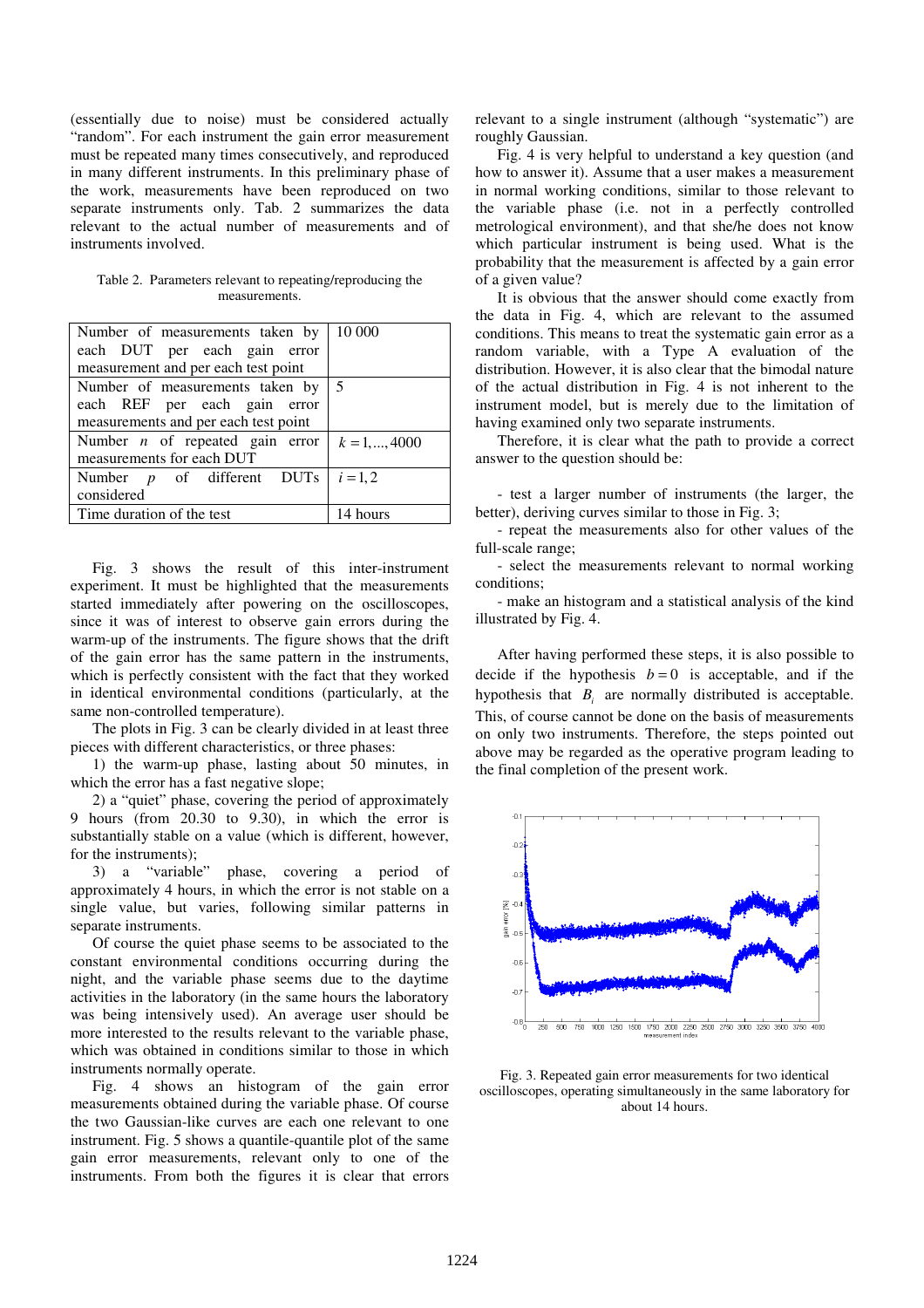(essentially due to noise) must be considered actually "random". For each instrument the gain error measurement must be repeated many times consecutively, and reproduced in many different instruments. In this preliminary phase of the work, measurements have been reproduced on two separate instruments only. Tab. 2 summarizes the data relevant to the actual number of measurements and of instruments involved.

| Table 2. Parameters relevant to repeating/reproducing the |
|-----------------------------------------------------------|
| measurements.                                             |

| Number of measurements taken by                        | 10 000         |
|--------------------------------------------------------|----------------|
| each DUT per each gain error                           |                |
| measurement and per each test point                    |                |
| Number of measurements taken by                        | $\overline{5}$ |
| each REF per each gain error                           |                |
| measurements and per each test point                   |                |
| Number <i>n</i> of repeated gain error $k = 1, , 4000$ |                |
| measurements for each DUT                              |                |
| Number $p$ of different DUTs                           | $i = 1, 2$     |
| considered                                             |                |
| Time duration of the test                              | 14 hours       |

Fig. 3 shows the result of this inter-instrument experiment. It must be highlighted that the measurements started immediately after powering on the oscilloscopes, since it was of interest to observe gain errors during the warm-up of the instruments. The figure shows that the drift of the gain error has the same pattern in the instruments, which is perfectly consistent with the fact that they worked in identical environmental conditions (particularly, at the same non-controlled temperature).

The plots in Fig. 3 can be clearly divided in at least three pieces with different characteristics, or three phases:

1) the warm-up phase, lasting about 50 minutes, in which the error has a fast negative slope;

2) a "quiet" phase, covering the period of approximately 9 hours (from 20.30 to 9.30), in which the error is substantially stable on a value (which is different, however,

for the instruments);<br>3) a "variable" phase, covering a period of approximately 4 hours, in which the error is not stable on a single value, but varies, following similar patterns in separate instruments.

Of course the quiet phase seems to be associated to the constant environmental conditions occurring during the night, and the variable phase seems due to the daytime activities in the laboratory (in the same hours the laboratory was being intensively used). An average user should be more interested to the results relevant to the variable phase, which was obtained in conditions similar to those in which instruments normally operate.

Fig. 4 shows an histogram of the gain error measurements obtained during the variable phase. Of course the two Gaussian-like curves are each one relevant to one instrument. Fig. 5 shows a quantile-quantile plot of the same gain error measurements, relevant only to one of the instruments. From both the figures it is clear that errors relevant to a single instrument (although "systematic") are roughly Gaussian.

Fig. 4 is very helpful to understand a key question (and how to answer it). Assume that a user makes a measurement in normal working conditions, similar to those relevant to the variable phase (i.e. not in a perfectly controlled metrological environment), and that she/he does not know which particular instrument is being used. What is the probability that the measurement is affected by a gain error of a given value?

It is obvious that the answer should come exactly from the data in Fig. 4, which are relevant to the assumed conditions. This means to treat the systematic gain error as a random variable, with a Type A evaluation of the distribution. However, it is also clear that the bimodal nature of the actual distribution in Fig. 4 is not inherent to the instrument model, but is merely due to the limitation of having examined only two separate instruments.

Therefore, it is clear what the path to provide a correct answer to the question should be:

- test a larger number of instruments (the larger, the better), deriving curves similar to those in Fig. 3;

- repeat the measurements also for other values of the full-scale range;

- select the measurements relevant to normal working conditions;

- make an histogram and a statistical analysis of the kind illustrated by Fig. 4.

After having performed these steps, it is also possible to decide if the hypothesis  $b = 0$  is acceptable, and if the hypothesis that  $B_i$  are normally distributed is acceptable. This, of course cannot be done on the basis of measurements on only two instruments. Therefore, the steps pointed out above may be regarded as the operative program leading to the final completion of the present work.



Fig. 3. Repeated gain error measurements for two identical oscilloscopes, operating simultaneously in the same laboratory for about 14 hours.